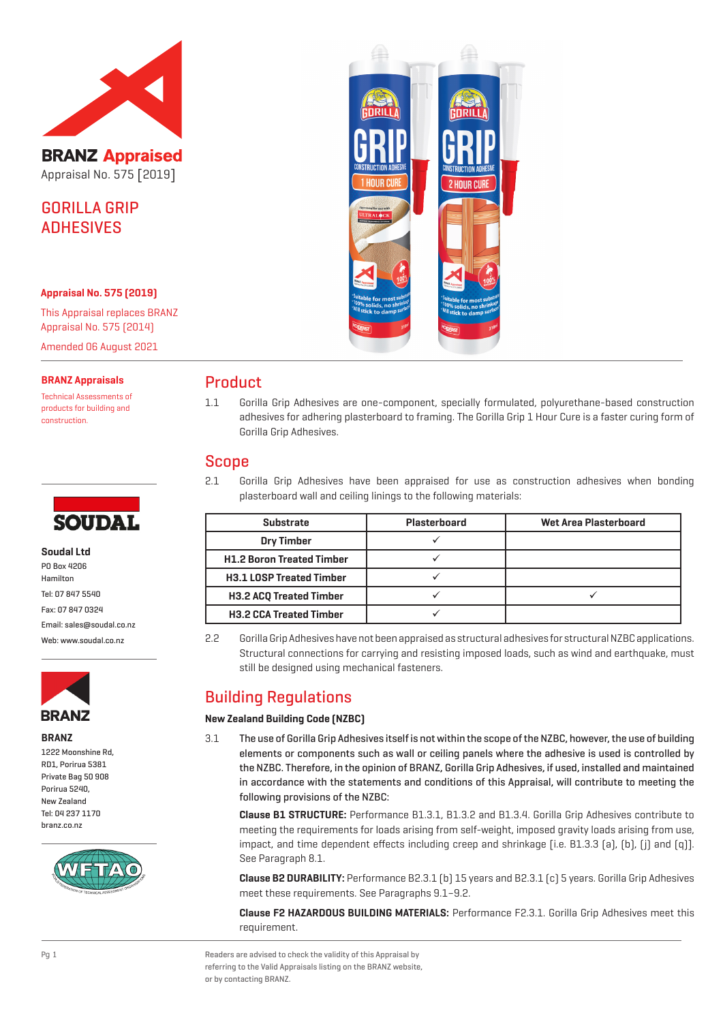

**BRANZ Appraised** Appraisal No. 575 [2019]

GORILLA GRIP **ADHESIVES** 

#### **Appraisal No. 575 (2019)**

This Appraisal replaces BRANZ Appraisal No. 575 (2014) Amended 06 August 2021

**BRANZ Appraisals**

Technical Assessments of products for building and construction.



**Soudal Ltd** PO Box 4206 Hamilton Tel: 07 847 5540 Fax: 07 847 0324 Email: sales@soudal.co.nz Web: www.soudal.co.nz



**BRANZ**

1222 Moonshine Rd, RD1, Porirua 5381 Private Bag 50 908 Porirua 5240, New Zealand Tel: 04 237 1170 branz.co.nz





## Product

1.1 Gorilla Grip Adhesives are one-component, specially formulated, polyurethane-based construction adhesives for adhering plasterboard to framing. The Gorilla Grip 1 Hour Cure is a faster curing form of Gorilla Grip Adhesives.

## Scope

2.1 Gorilla Grip Adhesives have been appraised for use as construction adhesives when bonding plasterboard wall and ceiling linings to the following materials:

| <b>Substrate</b>                 | Plasterboard | <b>Wet Area Plasterboard</b> |
|----------------------------------|--------------|------------------------------|
| <b>Dry Timber</b>                |              |                              |
| <b>H1.2 Boron Treated Timber</b> |              |                              |
| <b>H3.1 LOSP Treated Timber</b>  |              |                              |
| <b>H3.2 ACQ Treated Timber</b>   |              |                              |
| <b>H3.2 CCA Treated Timber</b>   |              |                              |

2.2 Gorilla Grip Adhesives have not been appraised as structural adhesives for structural NZBC applications. Structural connections for carrying and resisting imposed loads, such as wind and earthquake, must still be designed using mechanical fasteners.

# Building Regulations

## **New Zealand Building Code (NZBC)**

3.1 The use of Gorilla Grip Adhesives itself is not within the scope of the NZBC, however, the use of building elements or components such as wall or ceiling panels where the adhesive is used is controlled by the NZBC. Therefore, in the opinion of BRANZ, Gorilla Grip Adhesives, if used, installed and maintained in accordance with the statements and conditions of this Appraisal, will contribute to meeting the following provisions of the NZBC:

**Clause B1 STRUCTURE:** Performance B1.3.1, B1.3.2 and B1.3.4. Gorilla Grip Adhesives contribute to meeting the requirements for loads arising from self-weight, imposed gravity loads arising from use, impact, and time dependent effects including creep and shrinkage [i.e. B1.3.3 (a), (b), (j) and (q)]. See Paragraph 8.1.

**Clause B2 DURABILITY:** Performance B2.3.1 (b) 15 years and B2.3.1 (c) 5 years. Gorilla Grip Adhesives meet these requirements. See Paragraphs 9.1–9.2.

**Clause F2 HAZARDOUS BUILDING MATERIALS:** Performance F2.3.1. Gorilla Grip Adhesives meet this requirement.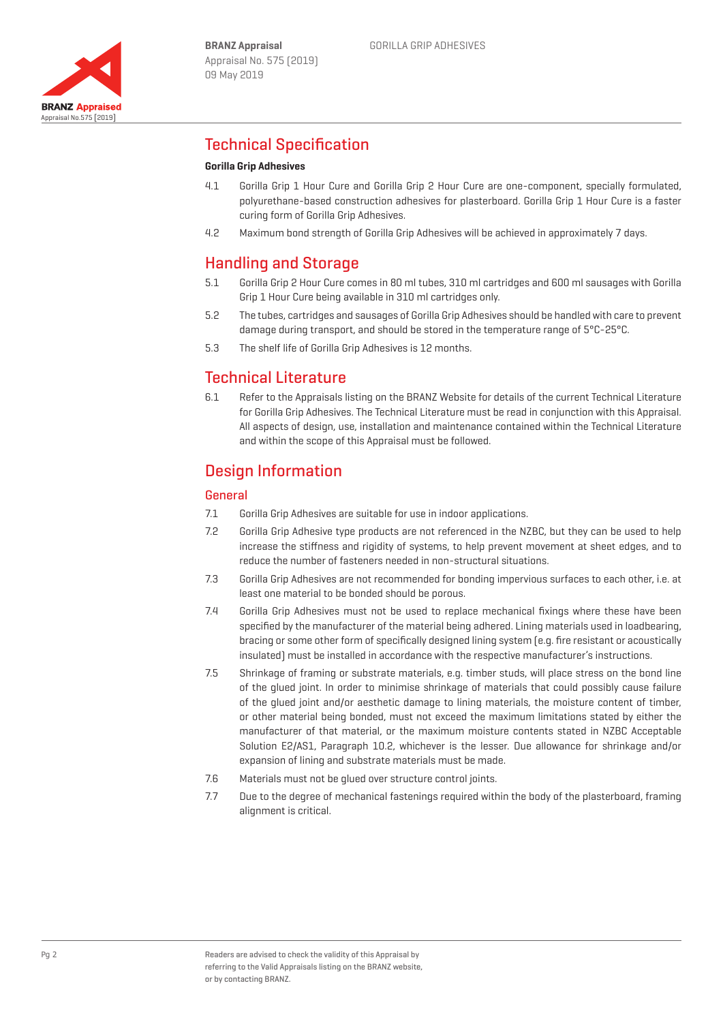

# Technical Specification

## **Gorilla Grip Adhesives**

- 4.1 Gorilla Grip 1 Hour Cure and Gorilla Grip 2 Hour Cure are one-component, specially formulated, polyurethane-based construction adhesives for plasterboard. Gorilla Grip 1 Hour Cure is a faster curing form of Gorilla Grip Adhesives.
- 4.2 Maximum bond strength of Gorilla Grip Adhesives will be achieved in approximately 7 days.

# Handling and Storage

- 5.1 Gorilla Grip 2 Hour Cure comes in 80 ml tubes, 310 ml cartridges and 600 ml sausages with Gorilla Grip 1 Hour Cure being available in 310 ml cartridges only.
- 5.2 The tubes, cartridges and sausages of Gorilla Grip Adhesives should be handled with care to prevent damage during transport, and should be stored in the temperature range of 5°C-25°C.
- 5.3 The shelf life of Gorilla Grip Adhesives is 12 months.

# Technical Literature

6.1 Refer to the Appraisals listing on the BRANZ Website for details of the current Technical Literature for Gorilla Grip Adhesives. The Technical Literature must be read in conjunction with this Appraisal. All aspects of design, use, installation and maintenance contained within the Technical Literature and within the scope of this Appraisal must be followed.

# Design Information

## **General**

- 7.1 Gorilla Grip Adhesives are suitable for use in indoor applications.
- 7.2 Gorilla Grip Adhesive type products are not referenced in the NZBC, but they can be used to help increase the stiffness and rigidity of systems, to help prevent movement at sheet edges, and to reduce the number of fasteners needed in non-structural situations.
- 7.3 Gorilla Grip Adhesives are not recommended for bonding impervious surfaces to each other, i.e. at least one material to be bonded should be porous.
- 7.4 Gorilla Grip Adhesives must not be used to replace mechanical fixings where these have been specified by the manufacturer of the material being adhered. Lining materials used in loadbearing, bracing or some other form of specifically designed lining system (e.g. fire resistant or acoustically insulated) must be installed in accordance with the respective manufacturer's instructions.
- 7.5 Shrinkage of framing or substrate materials, e.g. timber studs, will place stress on the bond line of the glued joint. In order to minimise shrinkage of materials that could possibly cause failure of the glued joint and/or aesthetic damage to lining materials, the moisture content of timber, or other material being bonded, must not exceed the maximum limitations stated by either the manufacturer of that material, or the maximum moisture contents stated in NZBC Acceptable Solution E2/AS1, Paragraph 10.2, whichever is the lesser. Due allowance for shrinkage and/or expansion of lining and substrate materials must be made.
- 7.6 Materials must not be glued over structure control joints.
- 7.7 Due to the degree of mechanical fastenings required within the body of the plasterboard, framing alignment is critical.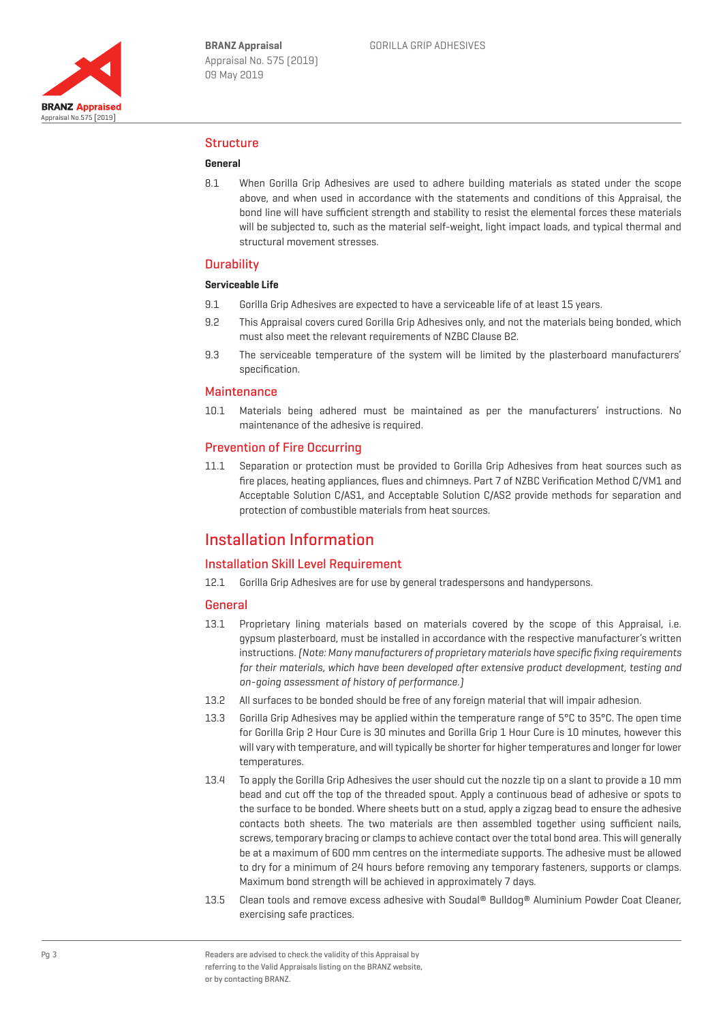

### Structure

#### **General**

8.1 When Gorilla Grip Adhesives are used to adhere building materials as stated under the scope above, and when used in accordance with the statements and conditions of this Appraisal, the bond line will have sufficient strength and stability to resist the elemental forces these materials will be subjected to, such as the material self-weight, light impact loads, and typical thermal and structural movement stresses.

#### **Durability**

## **Serviceable Life**

- 9.1 Gorilla Grip Adhesives are expected to have a serviceable life of at least 15 years.
- 9.2 This Appraisal covers cured Gorilla Grip Adhesives only, and not the materials being bonded, which must also meet the relevant requirements of NZBC Clause B2.
- 9.3 The serviceable temperature of the system will be limited by the plasterboard manufacturers' specification.

#### **Maintenance**

10.1 Materials being adhered must be maintained as per the manufacturers' instructions. No maintenance of the adhesive is required.

#### Prevention of Fire Occurring

11.1 Separation or protection must be provided to Gorilla Grip Adhesives from heat sources such as fire places, heating appliances, flues and chimneys. Part 7 of NZBC Verification Method C/VM1 and Acceptable Solution C/AS1, and Acceptable Solution C/AS2 provide methods for separation and protection of combustible materials from heat sources.

## Installation Information

### Installation Skill Level Requirement

12.1 Gorilla Grip Adhesives are for use by general tradespersons and handypersons.

#### **General**

- 13.1 Proprietary lining materials based on materials covered by the scope of this Appraisal, i.e. gypsum plasterboard, must be installed in accordance with the respective manufacturer's written instructions. (Note: Many manufacturers of proprietary materials have specific fixing requirements for their materials, which have been developed after extensive product development, testing and on-going assessment of history of performance.)
- 13.2 All surfaces to be bonded should be free of any foreign material that will impair adhesion.
- 13.3 Gorilla Grip Adhesives may be applied within the temperature range of  $5^{\circ}$ C to  $35^{\circ}$ C. The open time for Gorilla Grip 2 Hour Cure is 30 minutes and Gorilla Grip 1 Hour Cure is 10 minutes, however this will vary with temperature, and will typically be shorter for higher temperatures and longer for lower temperatures.
- 13.4 To apply the Gorilla Grip Adhesives the user should cut the nozzle tip on a slant to provide a 10 mm bead and cut off the top of the threaded spout. Apply a continuous bead of adhesive or spots to the surface to be bonded. Where sheets butt on a stud, apply a zigzag bead to ensure the adhesive contacts both sheets. The two materials are then assembled together using sufficient nails, screws, temporary bracing or clamps to achieve contact over the total bond area. This will generally be at a maximum of 600 mm centres on the intermediate supports. The adhesive must be allowed to dry for a minimum of 24 hours before removing any temporary fasteners, supports or clamps. Maximum bond strength will be achieved in approximately 7 days.
- 13.5 Clean tools and remove excess adhesive with Soudal® Bulldog® Aluminium Powder Coat Cleaner, exercising safe practices.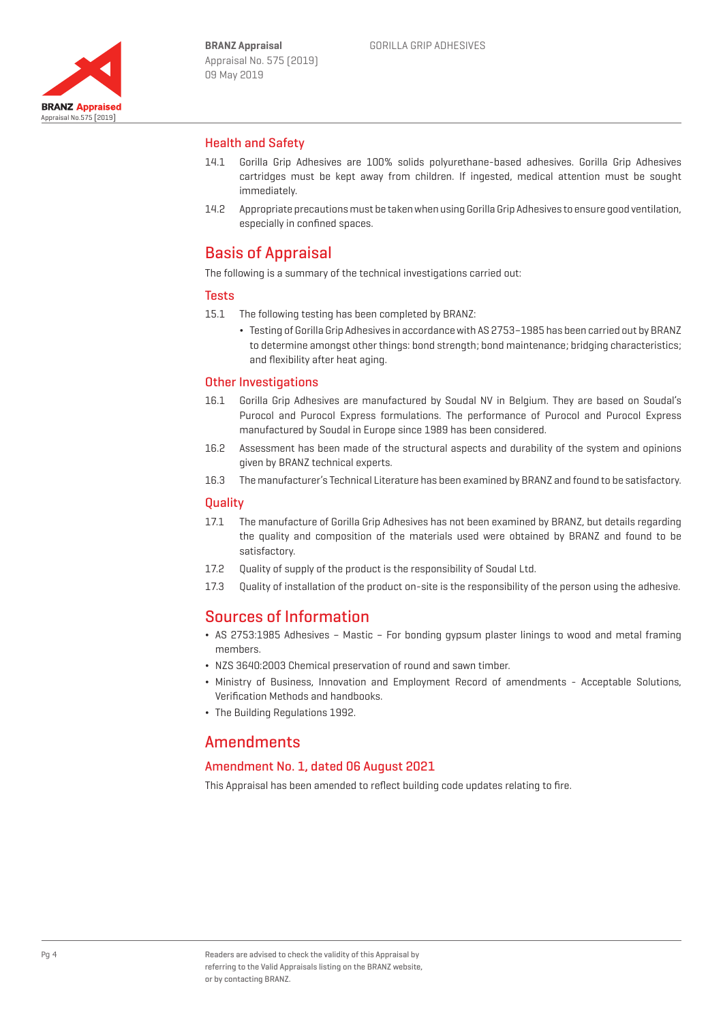

## Health and Safety

- 14.1 Gorilla Grip Adhesives are 100% solids polyurethane-based adhesives. Gorilla Grip Adhesives cartridges must be kept away from children. If ingested, medical attention must be sought immediately.
- 14.2 Appropriate precautions must be taken when using Gorilla Grip Adhesives to ensure good ventilation, especially in confined spaces.

## Basis of Appraisal

The following is a summary of the technical investigations carried out:

#### **Tests**

- 15.1 The following testing has been completed by BRANZ:
	- ¬ Testing of Gorilla Grip Adhesives in accordance with AS 2753–1985 has been carried out by BRANZ to determine amongst other things: bond strength; bond maintenance; bridging characteristics; and flexibility after heat aging.

## Other Investigations

- 16.1 Gorilla Grip Adhesives are manufactured by Soudal NV in Belgium. They are based on Soudal's Purocol and Purocol Express formulations. The performance of Purocol and Purocol Express manufactured by Soudal in Europe since 1989 has been considered.
- 16.2 Assessment has been made of the structural aspects and durability of the system and opinions given by BRANZ technical experts.
- 16.3 The manufacturer's Technical Literature has been examined by BRANZ and found to be satisfactory.

#### Quality

- 17.1 The manufacture of Gorilla Grip Adhesives has not been examined by BRANZ, but details regarding the quality and composition of the materials used were obtained by BRANZ and found to be satisfactory.
- 17.2 Ouality of supply of the product is the responsibility of Soudal Ltd.
- 17.3 Quality of installation of the product on-site is the responsibility of the person using the adhesive.

## Sources of Information

- ¬ AS 2753:1985 Adhesives Mastic For bonding gypsum plaster linings to wood and metal framing members.
- ¬ NZS 3640:2003 Chemical preservation of round and sawn timber.
- ¬ Ministry of Business, Innovation and Employment Record of amendments Acceptable Solutions, Verification Methods and handbooks.
- ¬ The Building Regulations 1992.

## **Amendments**

## Amendment No. 1, dated 06 August 2021

This Appraisal has been amended to reflect building code updates relating to fire.